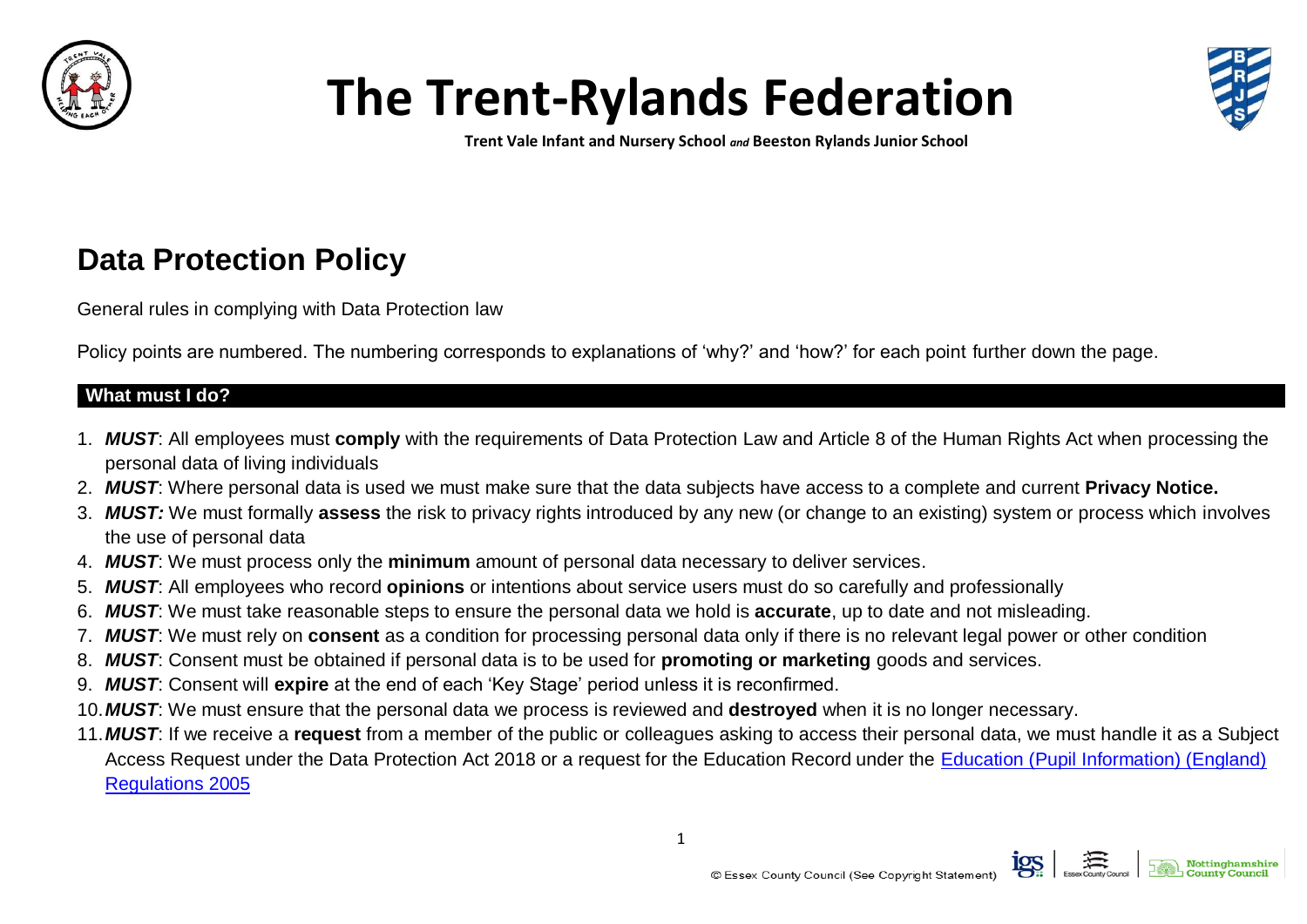

# **The Trent-Rylands Federation**



**Trent Vale Infant and Nursery School** *and* **Beeston Rylands Junior School**

# **Data Protection Policy**

General rules in complying with Data Protection law

Policy points are numbered. The numbering corresponds to explanations of 'why?' and 'how?' for each point further down the page.

#### **What must I do?**

- 1. *MUST*: All employees must **comply** with the requirements of Data Protection Law and Article 8 of the Human Rights Act when processing the personal data of living individuals
- 2. *MUST*: Where personal data is used we must make sure that the data subjects have access to a complete and current **Privacy Notice.**
- 3. *MUST:* We must formally **assess** the risk to privacy rights introduced by any new (or change to an existing) system or process which involves the use of personal data
- 4. *MUST*: We must process only the **minimum** amount of personal data necessary to deliver services.
- 5. *MUST*: All employees who record **opinions** or intentions about service users must do so carefully and professionally
- 6. *MUST*: We must take reasonable steps to ensure the personal data we hold is **accurate**, up to date and not misleading.
- 7. *MUST*: We must rely on **consent** as a condition for processing personal data only if there is no relevant legal power or other condition
- 8. *MUST*: Consent must be obtained if personal data is to be used for **promoting or marketing** goods and services.
- 9. *MUST*: Consent will **expire** at the end of each 'Key Stage' period unless it is reconfirmed.
- 10.*MUST*: We must ensure that the personal data we process is reviewed and **destroyed** when it is no longer necessary.
- 11.*MUST*: If we receive a **request** from a member of the public or colleagues asking to access their personal data, we must handle it as a Subject Access Request under the Data Protection Act 2018 or a request for the Education Record under the [Education \(Pupil Information\) \(England\)](http://www.legislation.gov.uk/uksi/2005/1437/pdfs/uksi_20051437_en.pdf)  [Regulations 2005](http://www.legislation.gov.uk/uksi/2005/1437/pdfs/uksi_20051437_en.pdf)

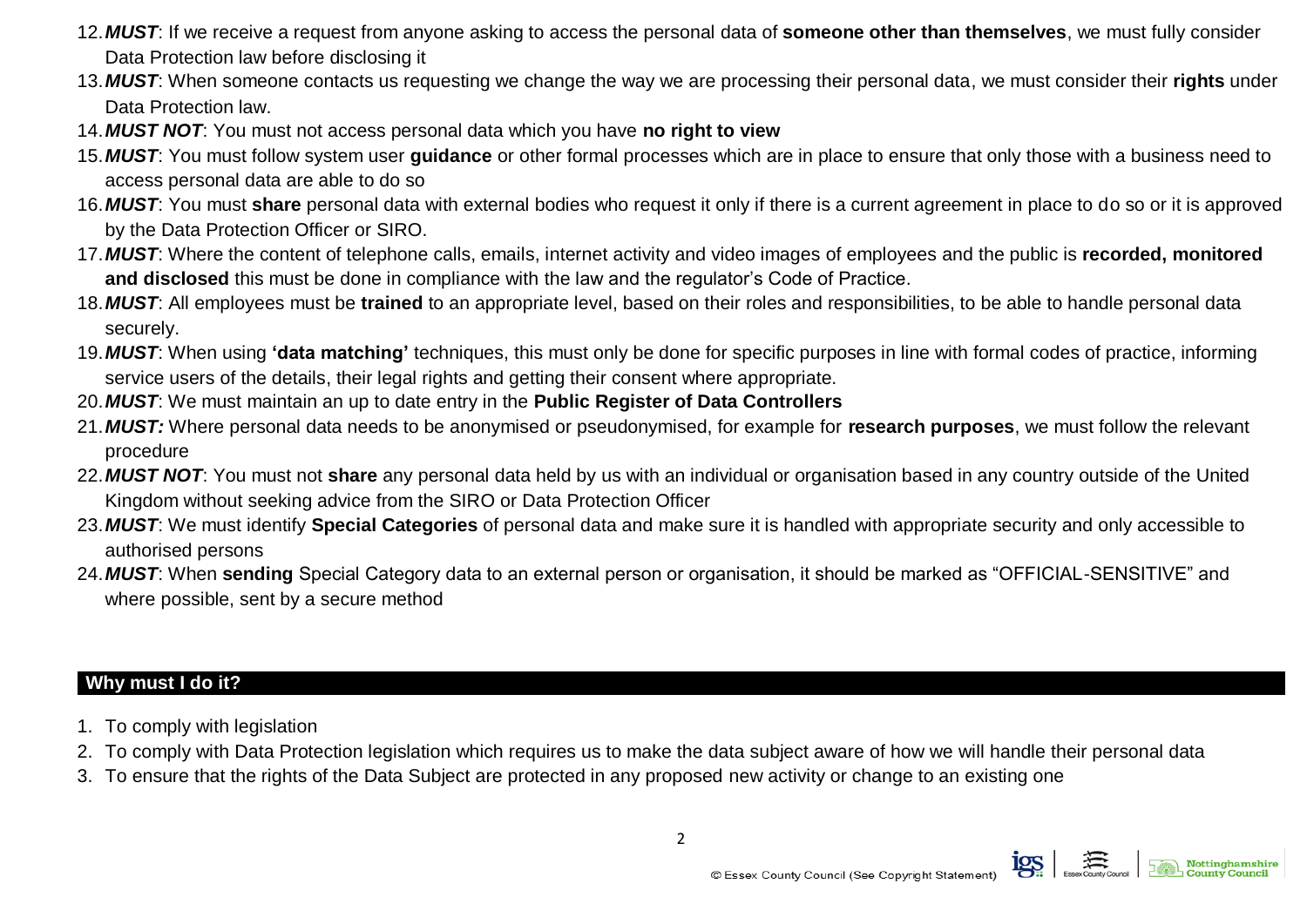- 12.*MUST*: If we receive a request from anyone asking to access the personal data of **someone other than themselves**, we must fully consider Data Protection law before disclosing it
- 13.*MUST*: When someone contacts us requesting we change the way we are processing their personal data, we must consider their **rights** under Data Protection law.
- 14.*MUST NOT*: You must not access personal data which you have **no right to view**
- 15.*MUST*: You must follow system user **guidance** or other formal processes which are in place to ensure that only those with a business need to access personal data are able to do so
- 16.*MUST*: You must **share** personal data with external bodies who request it only if there is a current agreement in place to do so or it is approved by the Data Protection Officer or SIRO.
- 17.*MUST*: Where the content of telephone calls, emails, internet activity and video images of employees and the public is **recorded, monitored and disclosed** this must be done in compliance with the law and the regulator's Code of Practice.
- 18.*MUST*: All employees must be **trained** to an appropriate level, based on their roles and responsibilities, to be able to handle personal data securely.
- 19.*MUST*: When using **'data matching'** techniques, this must only be done for specific purposes in line with formal codes of practice, informing service users of the details, their legal rights and getting their consent where appropriate.
- 20.*MUST*: We must maintain an up to date entry in the **Public Register of Data Controllers**
- 21.*MUST:* Where personal data needs to be anonymised or pseudonymised, for example for **research purposes**, we must follow the relevant procedure
- 22.*MUST NOT*: You must not **share** any personal data held by us with an individual or organisation based in any country outside of the United Kingdom without seeking advice from the SIRO or Data Protection Officer
- 23.*MUST*: We must identify **Special Categories** of personal data and make sure it is handled with appropriate security and only accessible to authorised persons
- 24.*MUST*: When **sending** Special Category data to an external person or organisation, it should be marked as "OFFICIAL-SENSITIVE" and where possible, sent by a secure method

### **Why must I do it?**

- 1. To comply with legislation
- 2. To comply with Data Protection legislation which requires us to make the data subject aware of how we will handle their personal data
- 3. To ensure that the rights of the Data Subject are protected in any proposed new activity or change to an existing one

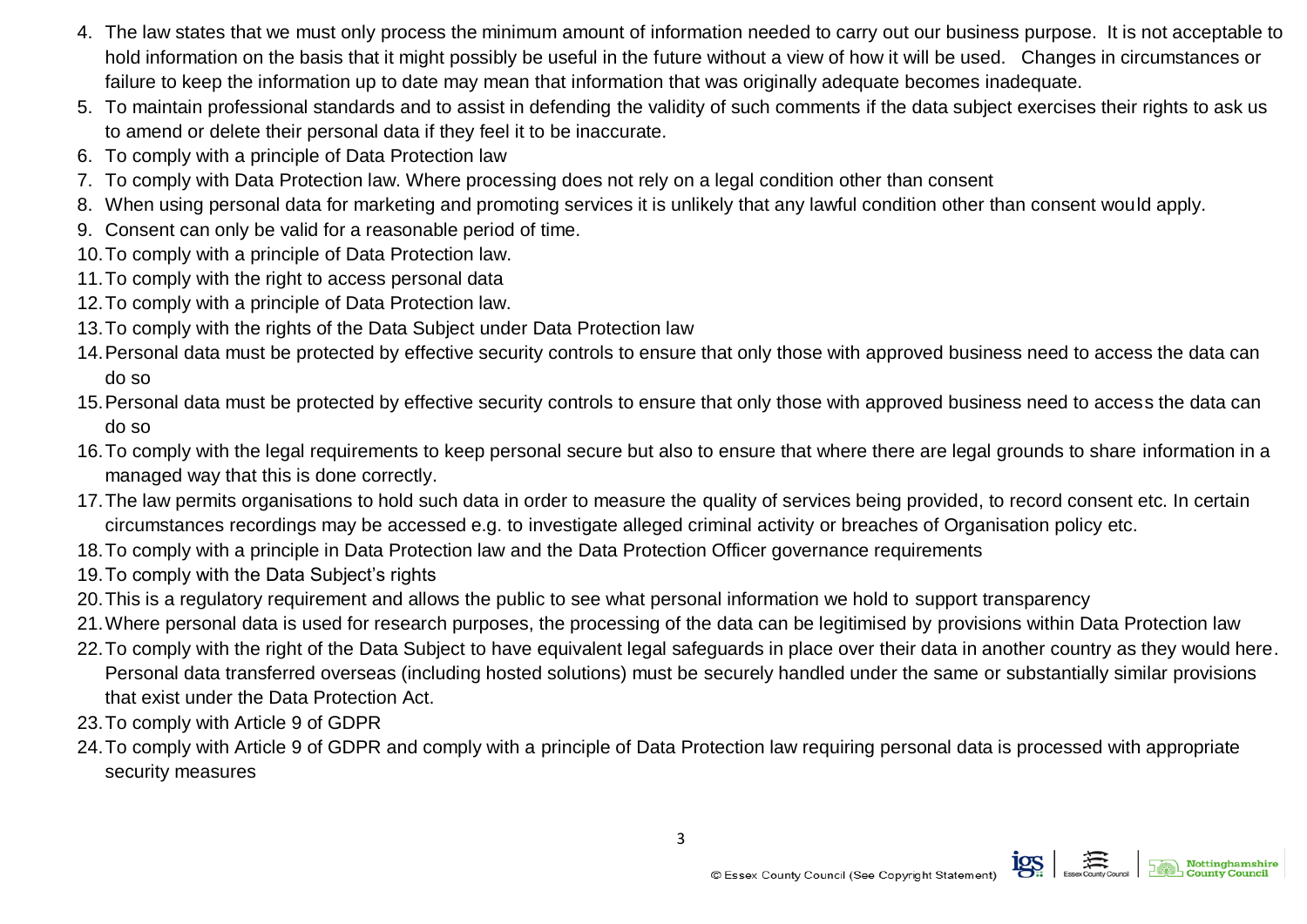- 4. The law states that we must only process the minimum amount of information needed to carry out our business purpose. It is not acceptable to hold information on the basis that it might possibly be useful in the future without a view of how it will be used. Changes in circumstances or failure to keep the information up to date may mean that information that was originally adequate becomes inadequate.
- 5. To maintain professional standards and to assist in defending the validity of such comments if the data subject exercises their rights to ask us to amend or delete their personal data if they feel it to be inaccurate.
- 6. To comply with a principle of Data Protection law
- 7. To comply with Data Protection law. Where processing does not rely on a legal condition other than consent
- 8. When using personal data for marketing and promoting services it is unlikely that any lawful condition other than consent would apply.
- 9. Consent can only be valid for a reasonable period of time.
- 10.To comply with a principle of Data Protection law.
- 11.To comply with the right to access personal data
- 12.To comply with a principle of Data Protection law.
- 13.To comply with the rights of the Data Subject under Data Protection law
- 14.Personal data must be protected by effective security controls to ensure that only those with approved business need to access the data can do so
- 15.Personal data must be protected by effective security controls to ensure that only those with approved business need to access the data can do so
- 16.To comply with the legal requirements to keep personal secure but also to ensure that where there are legal grounds to share information in a managed way that this is done correctly.
- 17.The law permits organisations to hold such data in order to measure the quality of services being provided, to record consent etc. In certain circumstances recordings may be accessed e.g. to investigate alleged criminal activity or breaches of Organisation policy etc.
- 18.To comply with a principle in Data Protection law and the Data Protection Officer governance requirements
- 19.To comply with the Data Subject's rights
- 20.This is a regulatory requirement and allows the public to see what personal information we hold to support transparency
- 21.Where personal data is used for research purposes, the processing of the data can be legitimised by provisions within Data Protection law
- 22.To comply with the right of the Data Subject to have equivalent legal safeguards in place over their data in another country as they would here. Personal data transferred overseas (including hosted solutions) must be securely handled under the same or substantially similar provisions that exist under the Data Protection Act.
- 23.To comply with Article 9 of GDPR
- 24.To comply with Article 9 of GDPR and comply with a principle of Data Protection law requiring personal data is processed with appropriate security measures

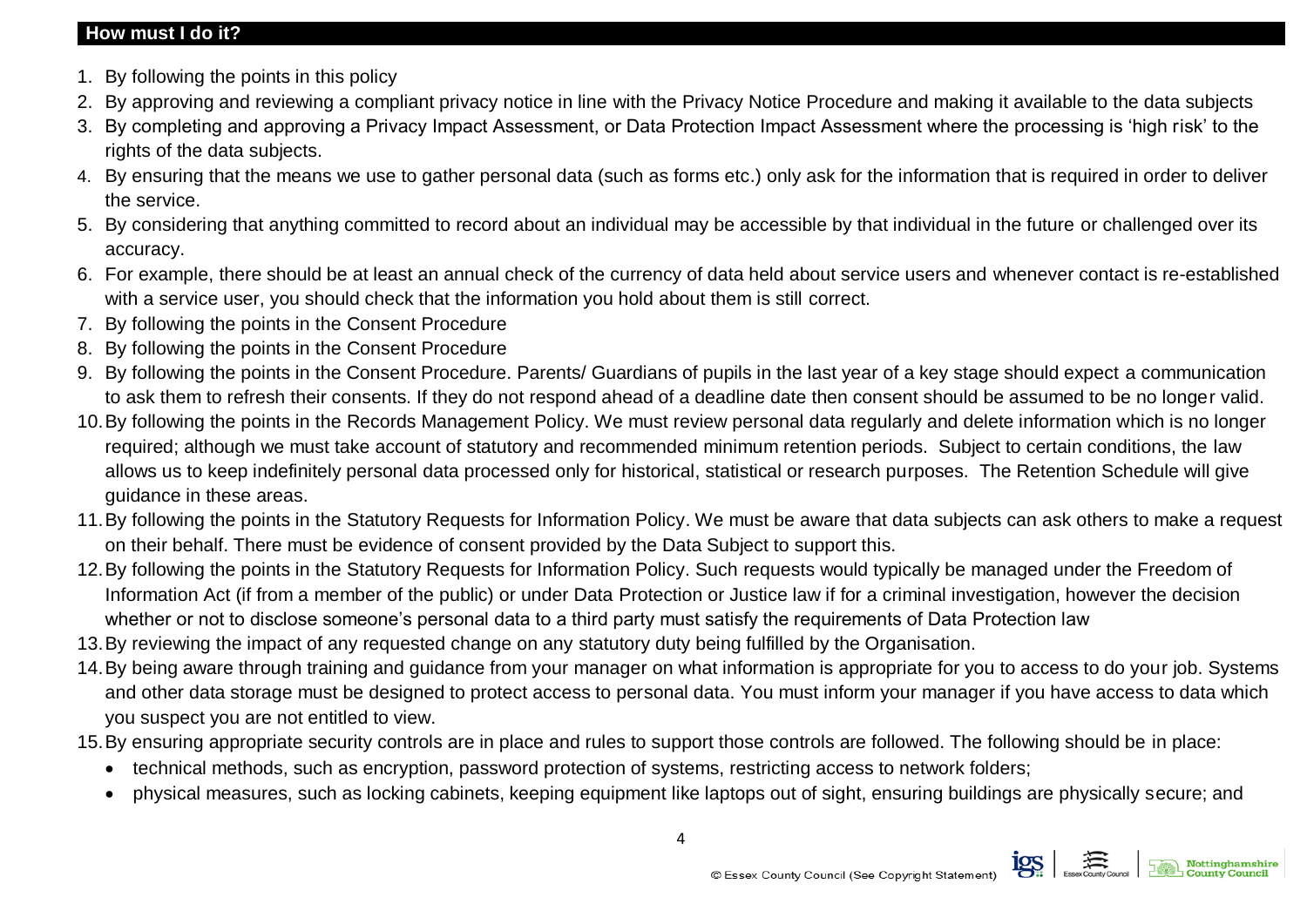#### **How must I do it?**

- 1. By following the points in this policy
- 2. By approving and reviewing a compliant privacy notice in line with the Privacy Notice Procedure and making it available to the data subjects
- 3. By completing and approving a Privacy Impact Assessment, or Data Protection Impact Assessment where the processing is 'high risk' to the rights of the data subjects.
- 4. By ensuring that the means we use to gather personal data (such as forms etc.) only ask for the information that is required in order to deliver the service.
- 5. By considering that anything committed to record about an individual may be accessible by that individual in the future or challenged over its accuracy.
- 6. For example, there should be at least an annual check of the currency of data held about service users and whenever contact is re-established with a service user, you should check that the information you hold about them is still correct.
- 7. By following the points in the Consent Procedure
- 8. By following the points in the Consent Procedure
- 9. By following the points in the Consent Procedure. Parents/ Guardians of pupils in the last year of a key stage should expect a communication to ask them to refresh their consents. If they do not respond ahead of a deadline date then consent should be assumed to be no longer valid.
- 10.By following the points in the Records Management Policy. We must review personal data regularly and delete information which is no longer required; although we must take account of statutory and recommended minimum retention periods. Subject to certain conditions, the law allows us to keep indefinitely personal data processed only for historical, statistical or research purposes. The Retention Schedule will give guidance in these areas.
- 11.By following the points in the Statutory Requests for Information Policy. We must be aware that data subjects can ask others to make a request on their behalf. There must be evidence of consent provided by the Data Subject to support this.
- 12.By following the points in the Statutory Requests for Information Policy. Such requests would typically be managed under the Freedom of Information Act (if from a member of the public) or under Data Protection or Justice law if for a criminal investigation, however the decision whether or not to disclose someone's personal data to a third party must satisfy the requirements of Data Protection law
- 13.By reviewing the impact of any requested change on any statutory duty being fulfilled by the Organisation.
- 14.By being aware through training and guidance from your manager on what information is appropriate for you to access to do your job. Systems and other data storage must be designed to protect access to personal data. You must inform your manager if you have access to data which you suspect you are not entitled to view.
- 15.By ensuring appropriate security controls are in place and rules to support those controls are followed. The following should be in place:
	- technical methods, such as encryption, password protection of systems, restricting access to network folders;
	- physical measures, such as locking cabinets, keeping equipment like laptops out of sight, ensuring buildings are physically secure; and

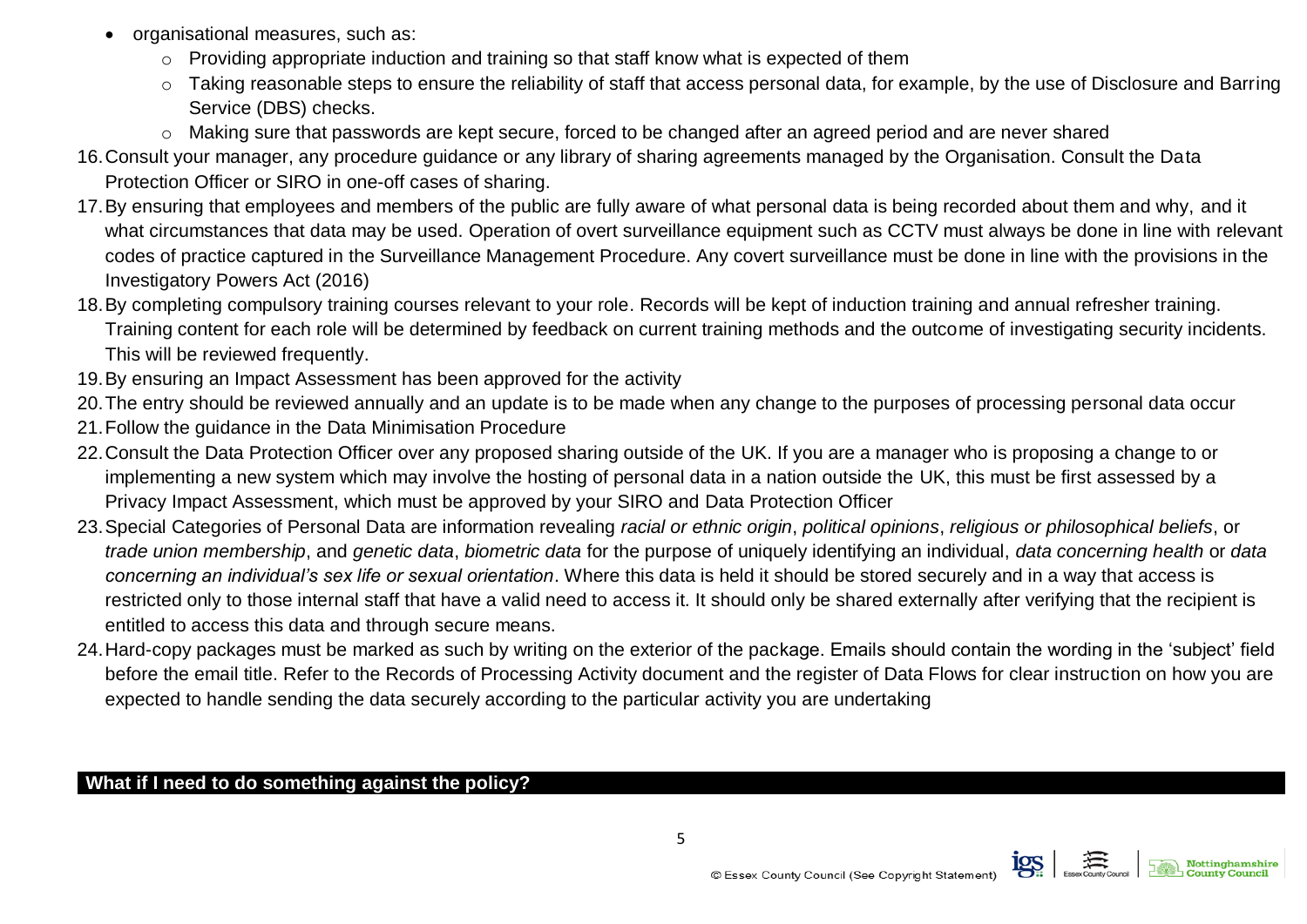- organisational measures, such as:
	- o Providing appropriate induction and training so that staff know what is expected of them
	- o Taking reasonable steps to ensure the reliability of staff that access personal data, for example, by the use of Disclosure and Barring Service (DBS) checks.
	- o Making sure that passwords are kept secure, forced to be changed after an agreed period and are never shared
- 16.Consult your manager, any procedure guidance or any library of sharing agreements managed by the Organisation. Consult the Data Protection Officer or SIRO in one-off cases of sharing.
- 17.By ensuring that employees and members of the public are fully aware of what personal data is being recorded about them and why, and it what circumstances that data may be used. Operation of overt surveillance equipment such as CCTV must always be done in line with relevant codes of practice captured in the Surveillance Management Procedure. Any covert surveillance must be done in line with the provisions in the Investigatory Powers Act (2016)
- 18.By completing compulsory training courses relevant to your role. Records will be kept of induction training and annual refresher training. Training content for each role will be determined by feedback on current training methods and the outcome of investigating security incidents. This will be reviewed frequently.
- 19.By ensuring an Impact Assessment has been approved for the activity
- 20.The entry should be reviewed annually and an update is to be made when any change to the purposes of processing personal data occur
- 21.Follow the guidance in the Data Minimisation Procedure
- 22.Consult the Data Protection Officer over any proposed sharing outside of the UK. If you are a manager who is proposing a change to or implementing a new system which may involve the hosting of personal data in a nation outside the UK, this must be first assessed by a Privacy Impact Assessment, which must be approved by your SIRO and Data Protection Officer
- 23.Special Categories of Personal Data are information revealing *racial or ethnic origin*, *political opinions*, *religious or philosophical beliefs*, or *trade union membership*, and *genetic data*, *biometric data* for the purpose of uniquely identifying an individual, *data concerning health* or *data concerning an individual's sex life or sexual orientation*. Where this data is held it should be stored securely and in a way that access is restricted only to those internal staff that have a valid need to access it. It should only be shared externally after verifying that the recipient is entitled to access this data and through secure means.
- 24.Hard-copy packages must be marked as such by writing on the exterior of the package. Emails should contain the wording in the 'subject' field before the email title. Refer to the Records of Processing Activity document and the register of Data Flows for clear instruction on how you are expected to handle sending the data securely according to the particular activity you are undertaking

## **What if I need to do something against the policy?**